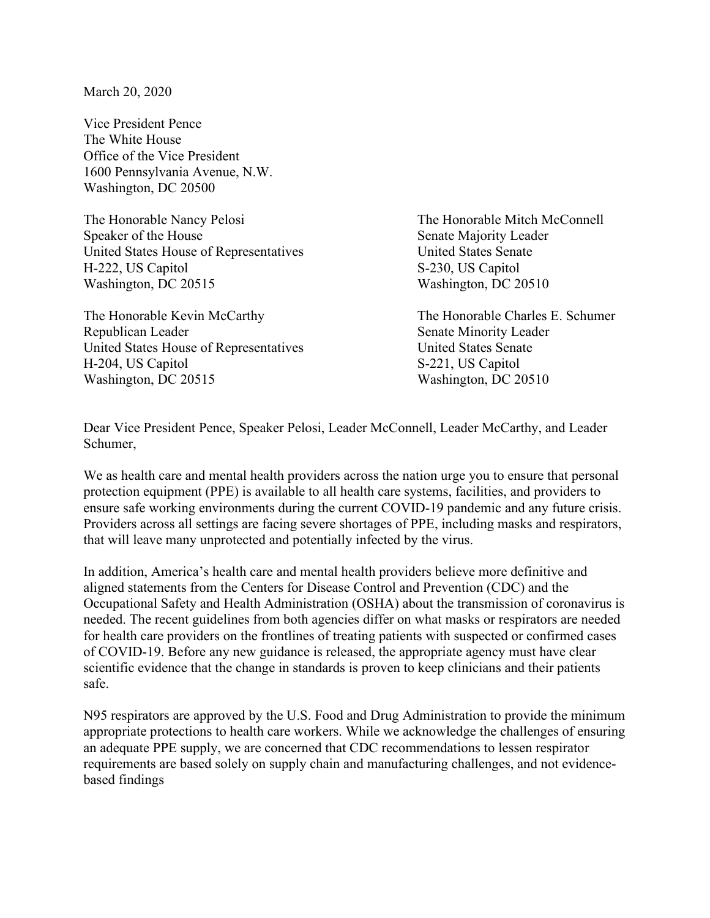March 20, 2020

Vice President Pence The White House Office of the Vice President 1600 Pennsylvania Avenue, N.W. Washington, DC 20500

The Honorable Nancy Pelosi The Honorable Mitch McConnell Speaker of the House Senate Majority Leader United States House of Representatives United States Senate H-222, US Capitol S-230, US Capitol Washington, DC 20515 Washington, DC 20510

The Honorable Kevin McCarthy The Honorable Charles E. Schumer Republican Leader Senate Minority Leader United States House of Representatives United States Senate H-204, US Capitol S-221, US Capitol Washington, DC 20515 Washington, DC 20510

Dear Vice President Pence, Speaker Pelosi, Leader McConnell, Leader McCarthy, and Leader Schumer,

We as health care and mental health providers across the nation urge you to ensure that personal protection equipment (PPE) is available to all health care systems, facilities, and providers to ensure safe working environments during the current COVID-19 pandemic and any future crisis. Providers across all settings are facing severe shortages of PPE, including masks and respirators, that will leave many unprotected and potentially infected by the virus.

In addition, America's health care and mental health providers believe more definitive and aligned statements from the Centers for Disease Control and Prevention (CDC) and the Occupational Safety and Health Administration (OSHA) about the transmission of coronavirus is needed. The recent guidelines from both agencies differ on what masks or respirators are needed for health care providers on the frontlines of treating patients with suspected or confirmed cases of COVID-19. Before any new guidance is released, the appropriate agency must have clear scientific evidence that the change in standards is proven to keep clinicians and their patients safe.

N95 respirators are approved by the U.S. Food and Drug Administration to provide the minimum appropriate protections to health care workers. While we acknowledge the challenges of ensuring an adequate PPE supply, we are concerned that CDC recommendations to lessen respirator requirements are based solely on supply chain and manufacturing challenges, and not evidencebased findings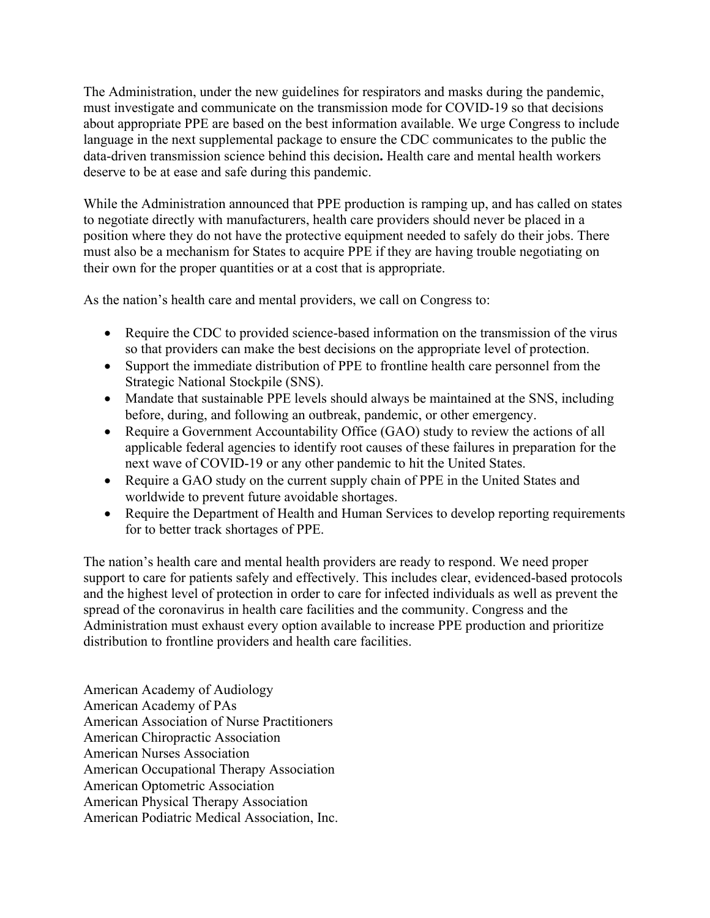The Administration, under the new guidelines for respirators and masks during the pandemic, must investigate and communicate on the transmission mode for COVID-19 so that decisions about appropriate PPE are based on the best information available. We urge Congress to include language in the next supplemental package to ensure the CDC communicates to the public the data-driven transmission science behind this decision**.** Health care and mental health workers deserve to be at ease and safe during this pandemic.

While the Administration announced that PPE production is ramping up, and has called on states to negotiate directly with manufacturers, health care providers should never be placed in a position where they do not have the protective equipment needed to safely do their jobs. There must also be a mechanism for States to acquire PPE if they are having trouble negotiating on their own for the proper quantities or at a cost that is appropriate.

As the nation's health care and mental providers, we call on Congress to:

- Require the CDC to provided science-based information on the transmission of the virus so that providers can make the best decisions on the appropriate level of protection.
- Support the immediate distribution of PPE to frontline health care personnel from the Strategic National Stockpile (SNS).
- Mandate that sustainable PPE levels should always be maintained at the SNS, including before, during, and following an outbreak, pandemic, or other emergency.
- Require a Government Accountability Office (GAO) study to review the actions of all applicable federal agencies to identify root causes of these failures in preparation for the next wave of COVID-19 or any other pandemic to hit the United States.
- Require a GAO study on the current supply chain of PPE in the United States and worldwide to prevent future avoidable shortages.
- Require the Department of Health and Human Services to develop reporting requirements for to better track shortages of PPE.

The nation's health care and mental health providers are ready to respond. We need proper support to care for patients safely and effectively. This includes clear, evidenced-based protocols and the highest level of protection in order to care for infected individuals as well as prevent the spread of the coronavirus in health care facilities and the community. Congress and the Administration must exhaust every option available to increase PPE production and prioritize distribution to frontline providers and health care facilities.

American Academy of Audiology American Academy of PAs American Association of Nurse Practitioners American Chiropractic Association American Nurses Association American Occupational Therapy Association American Optometric Association American Physical Therapy Association American Podiatric Medical Association, Inc.